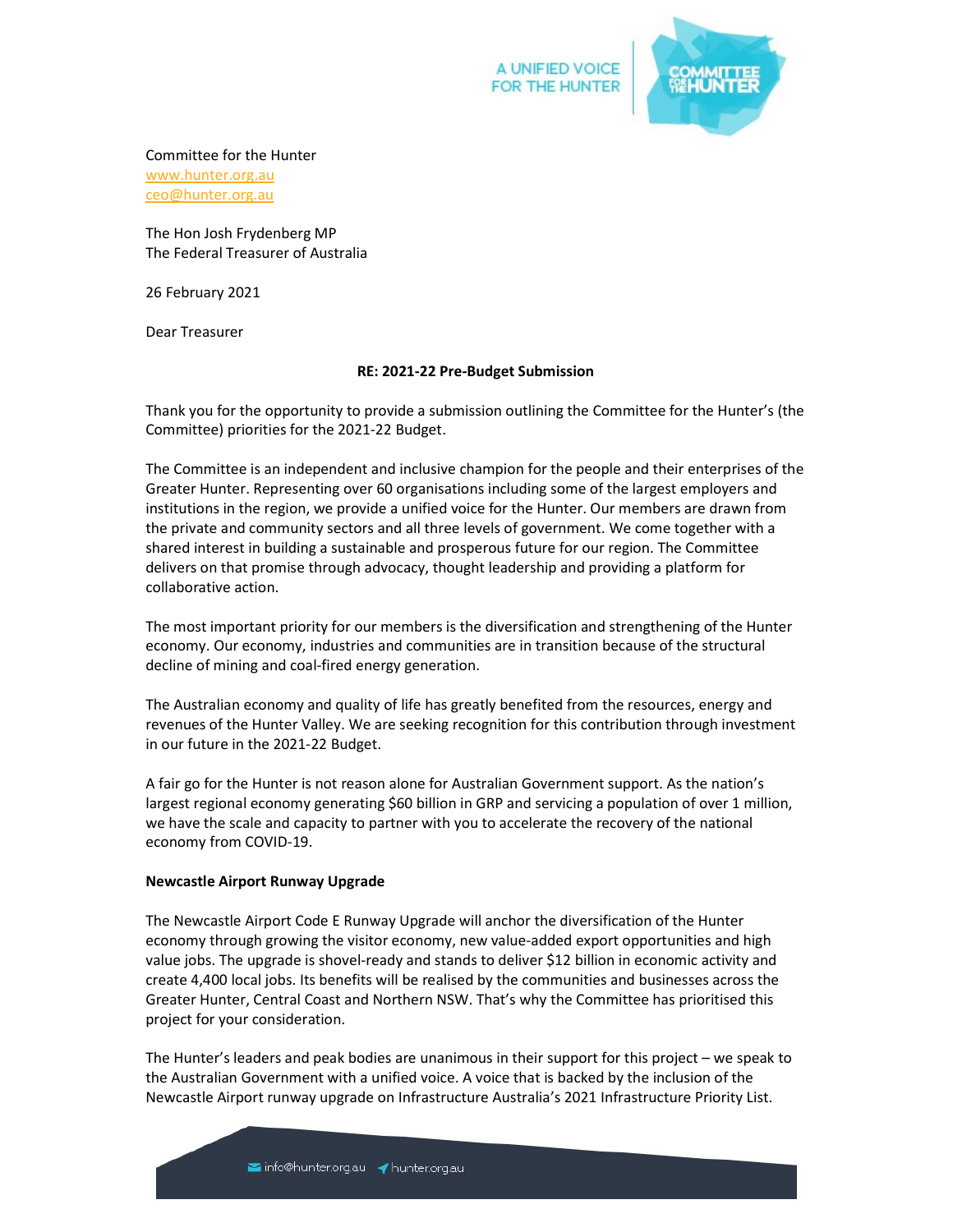

## Committee for the Hunter

www.hunter.org.au ceo@hunter.org.au

The Hon Josh Frydenberg MP The Federal Treasurer of Australia

26 February 2021

Dear Treasurer

### RE: 2021-22 Pre-Budget Submission

Thank you for the opportunity to provide a submission outlining the Committee for the Hunter's (the Committee) priorities for the 2021-22 Budget.

The Committee is an independent and inclusive champion for the people and their enterprises of the Greater Hunter. Representing over 60 organisations including some of the largest employers and institutions in the region, we provide a unified voice for the Hunter. Our members are drawn from the private and community sectors and all three levels of government. We come together with a shared interest in building a sustainable and prosperous future for our region. The Committee delivers on that promise through advocacy, thought leadership and providing a platform for collaborative action.

The most important priority for our members is the diversification and strengthening of the Hunter economy. Our economy, industries and communities are in transition because of the structural decline of mining and coal-fired energy generation.

The Australian economy and quality of life has greatly benefited from the resources, energy and revenues of the Hunter Valley. We are seeking recognition for this contribution through investment in our future in the 2021-22 Budget.

A fair go for the Hunter is not reason alone for Australian Government support. As the nation's largest regional economy generating \$60 billion in GRP and servicing a population of over 1 million, we have the scale and capacity to partner with you to accelerate the recovery of the national economy from COVID-19.

### Newcastle Airport Runway Upgrade

The Newcastle Airport Code E Runway Upgrade will anchor the diversification of the Hunter economy through growing the visitor economy, new value-added export opportunities and high value jobs. The upgrade is shovel-ready and stands to deliver \$12 billion in economic activity and create 4,400 local jobs. Its benefits will be realised by the communities and businesses across the Greater Hunter, Central Coast and Northern NSW. That's why the Committee has prioritised this project for your consideration.

The Hunter's leaders and peak bodies are unanimous in their support for this project – we speak to the Australian Government with a unified voice. A voice that is backed by the inclusion of the Newcastle Airport runway upgrade on Infrastructure Australia's 2021 Infrastructure Priority List.